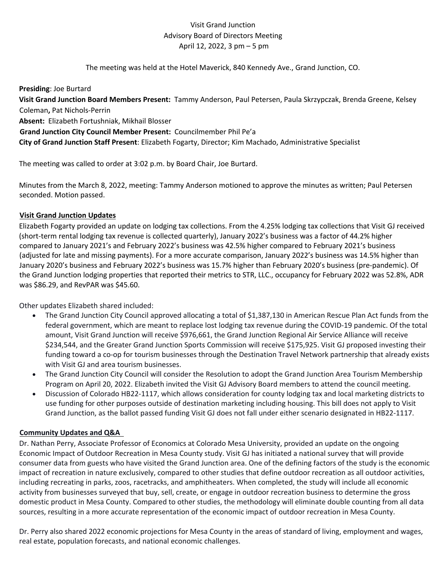## Visit Grand Junction Advisory Board of Directors Meeting April 12, 2022, 3 pm – 5 pm

The meeting was held at the Hotel Maverick, 840 Kennedy Ave., Grand Junction, CO.

**Presiding**: Joe Burtard

**Visit Grand Junction Board Members Present:** Tammy Anderson, Paul Petersen, Paula Skrzypczak, Brenda Greene, Kelsey Coleman**,** Pat Nichols-Perrin

**Absent:** Elizabeth Fortushniak, Mikhail Blosser

**Grand Junction City Council Member Present:** Councilmember Phil Pe'a **City of Grand Junction Staff Present**: Elizabeth Fogarty, Director; Kim Machado, Administrative Specialist

The meeting was called to order at 3:02 p.m. by Board Chair, Joe Burtard.

Minutes from the March 8, 2022, meeting: Tammy Anderson motioned to approve the minutes as written; Paul Petersen seconded. Motion passed.

## **Visit Grand Junction Updates**

Elizabeth Fogarty provided an update on lodging tax collections. From the 4.25% lodging tax collections that Visit GJ received (short-term rental lodging tax revenue is collected quarterly), January 2022's business was a factor of 44.2% higher compared to January 2021's and February 2022's business was 42.5% higher compared to February 2021's business (adjusted for late and missing payments). For a more accurate comparison, January 2022's business was 14.5% higher than January 2020's business and February 2022's business was 15.7% higher than February 2020's business (pre-pandemic). Of the Grand Junction lodging properties that reported their metrics to STR, LLC., occupancy for February 2022 was 52.8%, ADR was \$86.29, and RevPAR was \$45.60.

Other updates Elizabeth shared included:

- The Grand Junction City Council approved allocating a total of \$1,387,130 in American Rescue Plan Act funds from the federal government, which are meant to replace lost lodging tax revenue during the COVID-19 pandemic. Of the total amount, Visit Grand Junction will receive \$976,661, the Grand Junction Regional Air Service Alliance will receive \$234,544, and the Greater Grand Junction Sports Commission will receive \$175,925. Visit GJ proposed investing their funding toward a co-op for tourism businesses through the Destination Travel Network partnership that already exists with Visit GJ and area tourism businesses.
- The Grand Junction City Council will consider the Resolution to adopt the Grand Junction Area Tourism Membership Program on April 20, 2022. Elizabeth invited the Visit GJ Advisory Board members to attend the council meeting.
- Discussion of Colorado HB22-1117, which allows consideration for county lodging tax and local marketing districts to use funding for other purposes outside of destination marketing including housing. This bill does not apply to Visit Grand Junction, as the ballot passed funding Visit GJ does not fall under either scenario designated in HB22-1117.

## **Community Updates and Q&A**

Dr. Nathan Perry, Associate Professor of Economics at Colorado Mesa University, provided an update on the ongoing Economic Impact of Outdoor Recreation in Mesa County study. Visit GJ has initiated a national survey that will provide consumer data from guests who have visited the Grand Junction area. One of the defining factors of the study is the economic impact of recreation in nature exclusively, compared to other studies that define outdoor recreation as all outdoor activities, including recreating in parks, zoos, racetracks, and amphitheaters. When completed, the study will include all economic activity from businesses surveyed that buy, sell, create, or engage in outdoor recreation business to determine the gross domestic product in Mesa County. Compared to other studies, the methodology will eliminate double counting from all data sources, resulting in a more accurate representation of the economic impact of outdoor recreation in Mesa County.

Dr. Perry also shared 2022 economic projections for Mesa County in the areas of standard of living, employment and wages, real estate, population forecasts, and national economic challenges.